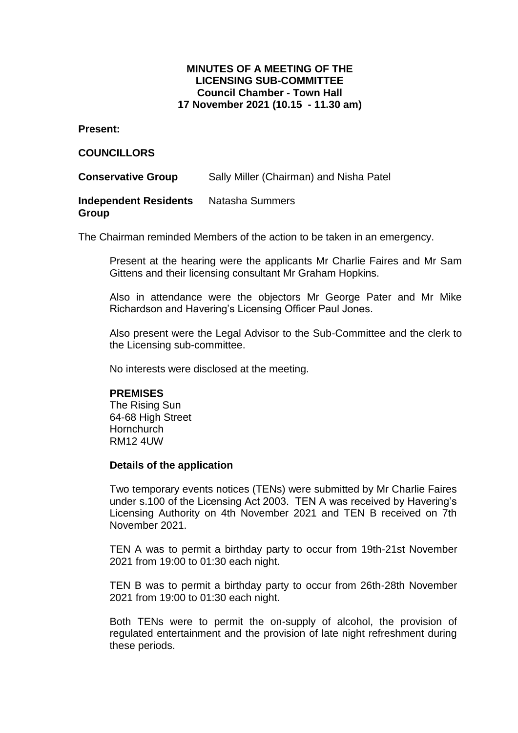# **MINUTES OF A MEETING OF THE LICENSING SUB-COMMITTEE Council Chamber - Town Hall 17 November 2021 (10.15 - 11.30 am)**

**Present:**

## **COUNCILLORS**

**Conservative Group** Sally Miller (Chairman) and Nisha Patel

#### **Independent Residents Group** Natasha Summers

The Chairman reminded Members of the action to be taken in an emergency.

Present at the hearing were the applicants Mr Charlie Faires and Mr Sam Gittens and their licensing consultant Mr Graham Hopkins.

Also in attendance were the objectors Mr George Pater and Mr Mike Richardson and Havering's Licensing Officer Paul Jones.

Also present were the Legal Advisor to the Sub-Committee and the clerk to the Licensing sub-committee.

No interests were disclosed at the meeting.

### **PREMISES**

The Rising Sun 64-68 High Street **Hornchurch** RM12 4UW

### **Details of the application**

Two temporary events notices (TENs) were submitted by Mr Charlie Faires under s.100 of the Licensing Act 2003. TEN A was received by Havering's Licensing Authority on 4th November 2021 and TEN B received on 7th November 2021.

TEN A was to permit a birthday party to occur from 19th-21st November 2021 from 19:00 to 01:30 each night.

TEN B was to permit a birthday party to occur from 26th-28th November 2021 from 19:00 to 01:30 each night.

Both TENs were to permit the on-supply of alcohol, the provision of regulated entertainment and the provision of late night refreshment during these periods.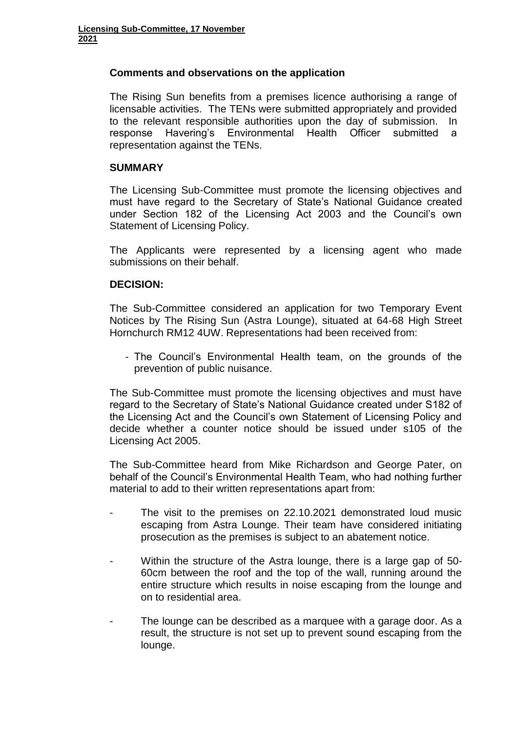# **Comments and observations on the application**

The Rising Sun benefits from a premises licence authorising a range of licensable activities. The TENs were submitted appropriately and provided to the relevant responsible authorities upon the day of submission. In response Havering's Environmental Health Officer submitted a representation against the TENs.

# **SUMMARY**

The Licensing Sub-Committee must promote the licensing objectives and must have regard to the Secretary of State's National Guidance created under Section 182 of the Licensing Act 2003 and the Council's own Statement of Licensing Policy.

The Applicants were represented by a licensing agent who made submissions on their behalf.

# **DECISION:**

The Sub-Committee considered an application for two Temporary Event Notices by The Rising Sun (Astra Lounge), situated at 64-68 High Street Hornchurch RM12 4UW. Representations had been received from:

- The Council's Environmental Health team, on the grounds of the prevention of public nuisance.

The Sub-Committee must promote the licensing objectives and must have regard to the Secretary of State's National Guidance created under S182 of the Licensing Act and the Council's own Statement of Licensing Policy and decide whether a counter notice should be issued under s105 of the Licensing Act 2005.

The Sub-Committee heard from Mike Richardson and George Pater, on behalf of the Council's Environmental Health Team, who had nothing further material to add to their written representations apart from:

- The visit to the premises on 22.10.2021 demonstrated loud music escaping from Astra Lounge. Their team have considered initiating prosecution as the premises is subject to an abatement notice.
- Within the structure of the Astra lounge, there is a large gap of 50-60cm between the roof and the top of the wall, running around the entire structure which results in noise escaping from the lounge and on to residential area.
- The lounge can be described as a marquee with a garage door. As a result, the structure is not set up to prevent sound escaping from the lounge.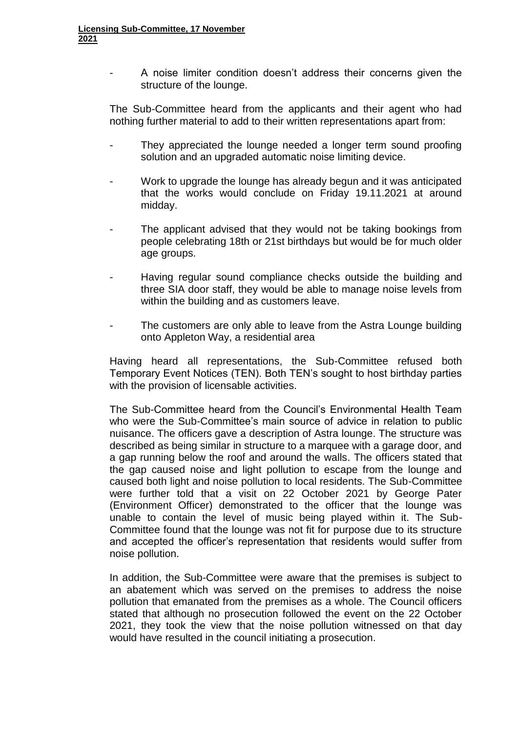A noise limiter condition doesn't address their concerns given the structure of the lounge.

The Sub-Committee heard from the applicants and their agent who had nothing further material to add to their written representations apart from:

- They appreciated the lounge needed a longer term sound proofing solution and an upgraded automatic noise limiting device.
- Work to upgrade the lounge has already begun and it was anticipated that the works would conclude on Friday 19.11.2021 at around midday.
- The applicant advised that they would not be taking bookings from people celebrating 18th or 21st birthdays but would be for much older age groups.
- Having regular sound compliance checks outside the building and three SIA door staff, they would be able to manage noise levels from within the building and as customers leave.
- The customers are only able to leave from the Astra Lounge building onto Appleton Way, a residential area

Having heard all representations, the Sub-Committee refused both Temporary Event Notices (TEN). Both TEN's sought to host birthday parties with the provision of licensable activities.

The Sub-Committee heard from the Council's Environmental Health Team who were the Sub-Committee's main source of advice in relation to public nuisance. The officers gave a description of Astra lounge. The structure was described as being similar in structure to a marquee with a garage door, and a gap running below the roof and around the walls. The officers stated that the gap caused noise and light pollution to escape from the lounge and caused both light and noise pollution to local residents. The Sub-Committee were further told that a visit on 22 October 2021 by George Pater (Environment Officer) demonstrated to the officer that the lounge was unable to contain the level of music being played within it. The Sub-Committee found that the lounge was not fit for purpose due to its structure and accepted the officer's representation that residents would suffer from noise pollution.

In addition, the Sub-Committee were aware that the premises is subject to an abatement which was served on the premises to address the noise pollution that emanated from the premises as a whole. The Council officers stated that although no prosecution followed the event on the 22 October 2021, they took the view that the noise pollution witnessed on that day would have resulted in the council initiating a prosecution.